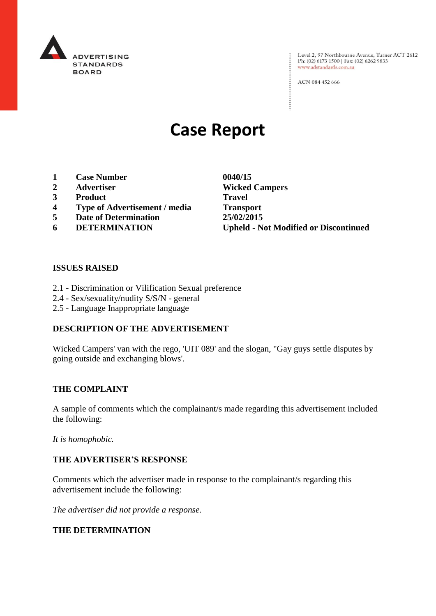

: Level 2, 97 Northbourne Avenue, Turner ACT 2612<br>: Ph: (02) 6173 1500 | Fax: (02) 6262 9833 Ph: (02) 6173 1500 | Fax: (02) 6262 9833 www.adstandards.com.au

ACN 084 452 666

# **Case Report**

- **1 Case Number 0040/15**
- 
- **3 Product Travel**
- **4 Type of Advertisement / media Transport**
- **5 Date of Determination 25/02/2015**
- 

**2 Advertiser Wicked Campers 6 DETERMINATION Upheld - Not Modified or Discontinued**

 $\vdots$ 

# **ISSUES RAISED**

- 2.1 Discrimination or Vilification Sexual preference
- 2.4 Sex/sexuality/nudity S/S/N general
- 2.5 Language Inappropriate language

# **DESCRIPTION OF THE ADVERTISEMENT**

Wicked Campers' van with the rego, 'UIT 089' and the slogan, "Gay guys settle disputes by going outside and exchanging blows'.

#### **THE COMPLAINT**

A sample of comments which the complainant/s made regarding this advertisement included the following:

*It is homophobic.*

## **THE ADVERTISER'S RESPONSE**

Comments which the advertiser made in response to the complainant/s regarding this advertisement include the following:

*The advertiser did not provide a response.*

## **THE DETERMINATION**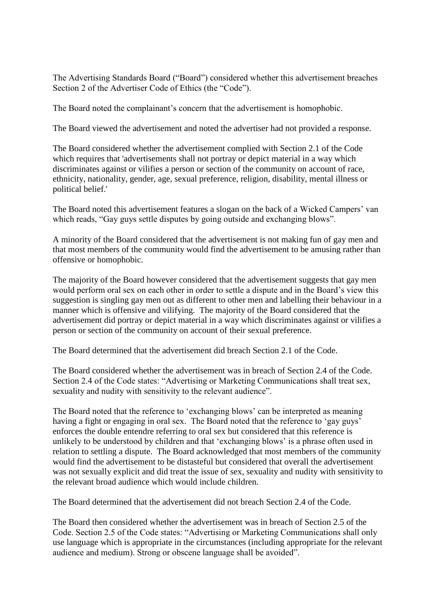The Advertising Standards Board ("Board") considered whether this advertisement breaches Section 2 of the Advertiser Code of Ethics (the "Code").

The Board noted the complainant's concern that the advertisement is homophobic.

The Board viewed the advertisement and noted the advertiser had not provided a response.

The Board considered whether the advertisement complied with Section 2.1 of the Code which requires that 'advertisements shall not portray or depict material in a way which discriminates against or vilifies a person or section of the community on account of race, ethnicity, nationality, gender, age, sexual preference, religion, disability, mental illness or political belief.'

The Board noted this advertisement features a slogan on the back of a Wicked Campers' van which reads, "Gay guys settle disputes by going outside and exchanging blows".

A minority of the Board considered that the advertisement is not making fun of gay men and that most members of the community would find the advertisement to be amusing rather than offensive or homophobic.

The majority of the Board however considered that the advertisement suggests that gay men would perform oral sex on each other in order to settle a dispute and in the Board's view this suggestion is singling gay men out as different to other men and labelling their behaviour in a manner which is offensive and vilifying. The majority of the Board considered that the advertisement did portray or depict material in a way which discriminates against or vilifies a person or section of the community on account of their sexual preference.

The Board determined that the advertisement did breach Section 2.1 of the Code.

The Board considered whether the advertisement was in breach of Section 2.4 of the Code. Section 2.4 of the Code states: "Advertising or Marketing Communications shall treat sex, sexuality and nudity with sensitivity to the relevant audience".

The Board noted that the reference to 'exchanging blows' can be interpreted as meaning having a fight or engaging in oral sex. The Board noted that the reference to 'gay guys' enforces the double entendre referring to oral sex but considered that this reference is unlikely to be understood by children and that 'exchanging blows' is a phrase often used in relation to settling a dispute. The Board acknowledged that most members of the community would find the advertisement to be distasteful but considered that overall the advertisement was not sexually explicit and did treat the issue of sex, sexuality and nudity with sensitivity to the relevant broad audience which would include children.

The Board determined that the advertisement did not breach Section 2.4 of the Code.

The Board then considered whether the advertisement was in breach of Section 2.5 of the Code. Section 2.5 of the Code states: "Advertising or Marketing Communications shall only use language which is appropriate in the circumstances (including appropriate for the relevant audience and medium). Strong or obscene language shall be avoided".